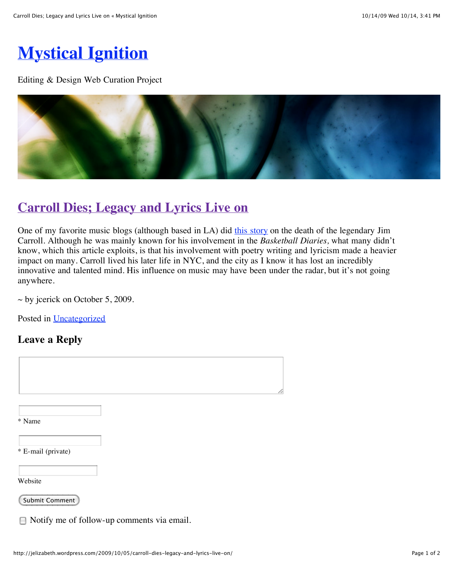

Editing & Design Web Curation Project



# **[Carroll Dies; Legacy and Lyrics Live on](http://jelizabeth.wordpress.com/2009/10/05/carroll-dies-legacy-and-lyrics-live-on/)**

One of my favorite music blogs (although based in LA) did [this story](http://www.aquariumdrunkard.com/2009/09/27/jim-carroll-watches-the-earth-recede/) on the death of the legendary Jim Carroll. Although he was mainly known for his involvement in the *Basketball Diaries,* what many didn't know, which this article exploits, is that his involvement with poetry writing and lyricism made a heavier impact on many. Carroll lived his later life in NYC, and the city as I know it has lost an incredibly innovative and talented mind. His influence on music may have been under the radar, but it's not going anywhere.

 $\sim$  by jcerick on October 5, 2009.

Posted in [Uncategorized](http://jelizabeth.wordpress.com/category/uncategorized/)

### **Leave a Reply**

|                    |  | é |
|--------------------|--|---|
|                    |  |   |
|                    |  |   |
|                    |  |   |
|                    |  |   |
|                    |  |   |
| * Name             |  |   |
|                    |  |   |
|                    |  |   |
|                    |  |   |
|                    |  |   |
|                    |  |   |
|                    |  |   |
| * E-mail (private) |  |   |
|                    |  |   |
|                    |  |   |
|                    |  |   |
|                    |  |   |
|                    |  |   |
| Website            |  |   |
|                    |  |   |
|                    |  |   |
|                    |  |   |
| Submit Comment     |  |   |
|                    |  |   |

Notify me of follow-up comments via email.